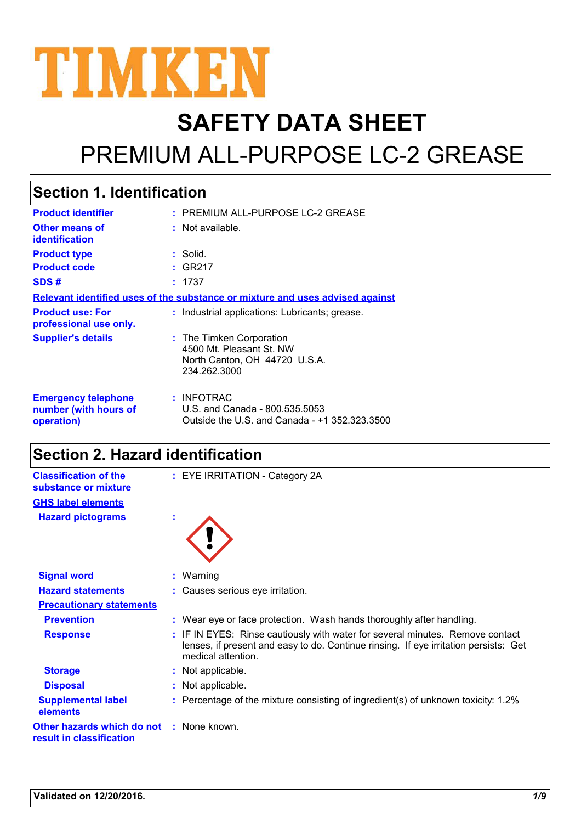

# **SAFETY DATA SHEET**

# PREMIUM ALL-PURPOSE LC-2 GREASE

| <b>Section 1. Identification</b>                                              |                                                                                                       |  |
|-------------------------------------------------------------------------------|-------------------------------------------------------------------------------------------------------|--|
| <b>Product identifier</b>                                                     | : PREMIUM ALL-PURPOSE LC-2 GREASE                                                                     |  |
| <b>Other means of</b><br>identification                                       | $:$ Not available.                                                                                    |  |
| <b>Product type</b>                                                           | : Solid.                                                                                              |  |
| <b>Product code</b>                                                           | : GR217                                                                                               |  |
| SDS#                                                                          | : 1737                                                                                                |  |
| Relevant identified uses of the substance or mixture and uses advised against |                                                                                                       |  |
| <b>Product use: For</b><br>professional use only.                             | : Industrial applications: Lubricants; grease.                                                        |  |
| <b>Supplier's details</b>                                                     | : The Timken Corporation<br>4500 Mt. Pleasant St. NW<br>North Canton, OH 44720 U.S.A.<br>234.262.3000 |  |
| <b>Emergency telephone</b><br>number (with hours of<br>operation)             | : INFOTRAC<br>U.S. and Canada - 800.535.5053<br>Outside the U.S. and Canada - +1 352.323.3500         |  |

## **Section 2. Hazard identification**

| <b>Classification of the</b><br>substance or mixture                 | : EYE IRRITATION - Category 2A                                                                                                                                                              |
|----------------------------------------------------------------------|---------------------------------------------------------------------------------------------------------------------------------------------------------------------------------------------|
| <b>GHS label elements</b>                                            |                                                                                                                                                                                             |
| <b>Hazard pictograms</b>                                             |                                                                                                                                                                                             |
| <b>Signal word</b>                                                   | $:$ Warning                                                                                                                                                                                 |
| <b>Hazard statements</b>                                             | : Causes serious eye irritation.                                                                                                                                                            |
| <b>Precautionary statements</b>                                      |                                                                                                                                                                                             |
| <b>Prevention</b>                                                    | : Wear eye or face protection. Wash hands thoroughly after handling.                                                                                                                        |
| <b>Response</b>                                                      | : IF IN EYES: Rinse cautiously with water for several minutes. Remove contact<br>lenses, if present and easy to do. Continue rinsing. If eye irritation persists: Get<br>medical attention. |
| <b>Storage</b>                                                       | : Not applicable.                                                                                                                                                                           |
| <b>Disposal</b>                                                      | : Not applicable.                                                                                                                                                                           |
| <b>Supplemental label</b><br><b>elements</b>                         | : Percentage of the mixture consisting of ingredient(s) of unknown toxicity: 1.2%                                                                                                           |
| Other hazards which do not : None known.<br>result in classification |                                                                                                                                                                                             |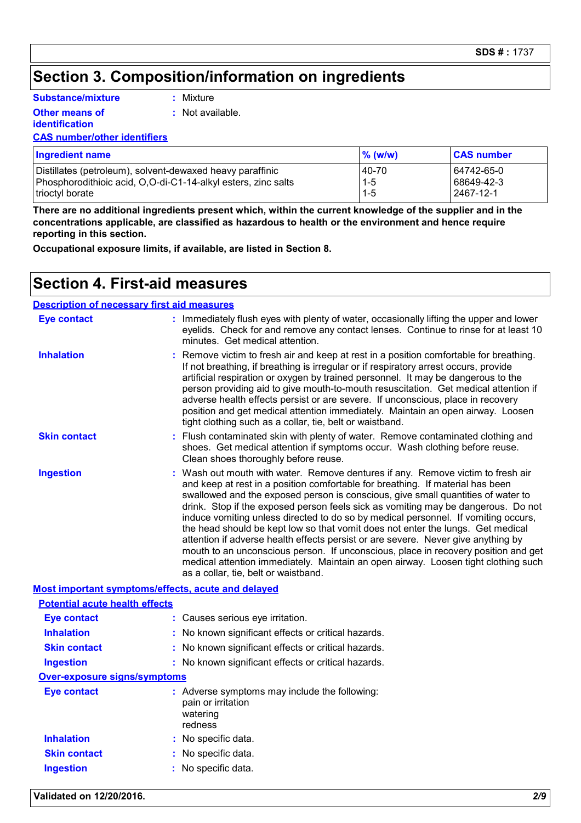## **Section 3. Composition/information on ingredients**

**Substance/mixture**

**Other means of** 

**:** Mixture

**:** Not available.

**identification**

| <b>CAS number/other identifiers</b> |  |
|-------------------------------------|--|
|                                     |  |

| <b>Ingredient name</b>                                        | $\%$ (w/w) | <b>CAS number</b> |
|---------------------------------------------------------------|------------|-------------------|
| Distillates (petroleum), solvent-dewaxed heavy paraffinic     | 40-70      | 64742-65-0        |
| Phosphorodithioic acid, O,O-di-C1-14-alkyl esters, zinc salts | $1 - 5$    | 68649-42-3        |
| trioctyl borate                                               | $1 - 5$    | 2467-12-1         |

**There are no additional ingredients present which, within the current knowledge of the supplier and in the concentrations applicable, are classified as hazardous to health or the environment and hence require reporting in this section.**

**Occupational exposure limits, if available, are listed in Section 8.**

### **Section 4. First-aid measures**

| <b>Description of necessary first aid measures</b> |                                                                                                                                                                                                                                                                                                                                                                                                                                                                                                                                                                                                                                                                                                                                                                                                                              |
|----------------------------------------------------|------------------------------------------------------------------------------------------------------------------------------------------------------------------------------------------------------------------------------------------------------------------------------------------------------------------------------------------------------------------------------------------------------------------------------------------------------------------------------------------------------------------------------------------------------------------------------------------------------------------------------------------------------------------------------------------------------------------------------------------------------------------------------------------------------------------------------|
| <b>Eye contact</b>                                 | : Immediately flush eyes with plenty of water, occasionally lifting the upper and lower<br>eyelids. Check for and remove any contact lenses. Continue to rinse for at least 10<br>minutes. Get medical attention.                                                                                                                                                                                                                                                                                                                                                                                                                                                                                                                                                                                                            |
| <b>Inhalation</b>                                  | : Remove victim to fresh air and keep at rest in a position comfortable for breathing.<br>If not breathing, if breathing is irregular or if respiratory arrest occurs, provide<br>artificial respiration or oxygen by trained personnel. It may be dangerous to the<br>person providing aid to give mouth-to-mouth resuscitation. Get medical attention if<br>adverse health effects persist or are severe. If unconscious, place in recovery<br>position and get medical attention immediately. Maintain an open airway. Loosen<br>tight clothing such as a collar, tie, belt or waistband.                                                                                                                                                                                                                                 |
| <b>Skin contact</b>                                | : Flush contaminated skin with plenty of water. Remove contaminated clothing and<br>shoes. Get medical attention if symptoms occur. Wash clothing before reuse.<br>Clean shoes thoroughly before reuse.                                                                                                                                                                                                                                                                                                                                                                                                                                                                                                                                                                                                                      |
| <b>Ingestion</b>                                   | : Wash out mouth with water. Remove dentures if any. Remove victim to fresh air<br>and keep at rest in a position comfortable for breathing. If material has been<br>swallowed and the exposed person is conscious, give small quantities of water to<br>drink. Stop if the exposed person feels sick as vomiting may be dangerous. Do not<br>induce vomiting unless directed to do so by medical personnel. If vomiting occurs,<br>the head should be kept low so that vomit does not enter the lungs. Get medical<br>attention if adverse health effects persist or are severe. Never give anything by<br>mouth to an unconscious person. If unconscious, place in recovery position and get<br>medical attention immediately. Maintain an open airway. Loosen tight clothing such<br>as a collar, tie, belt or waistband. |
|                                                    | Most important symptoms/effects, acute and delayed                                                                                                                                                                                                                                                                                                                                                                                                                                                                                                                                                                                                                                                                                                                                                                           |

| <b>Potential acute health effects</b> |                                                                                            |
|---------------------------------------|--------------------------------------------------------------------------------------------|
| <b>Eye contact</b>                    | : Causes serious eye irritation.                                                           |
| <b>Inhalation</b>                     | : No known significant effects or critical hazards.                                        |
| <b>Skin contact</b>                   | : No known significant effects or critical hazards.                                        |
| <b>Ingestion</b>                      | : No known significant effects or critical hazards.                                        |
| <b>Over-exposure signs/symptoms</b>   |                                                                                            |
| <b>Eye contact</b>                    | : Adverse symptoms may include the following:<br>pain or irritation<br>watering<br>redness |
| <b>Inhalation</b>                     | : No specific data.                                                                        |
| <b>Skin contact</b>                   | : No specific data.                                                                        |
| <b>Ingestion</b>                      | : No specific data.                                                                        |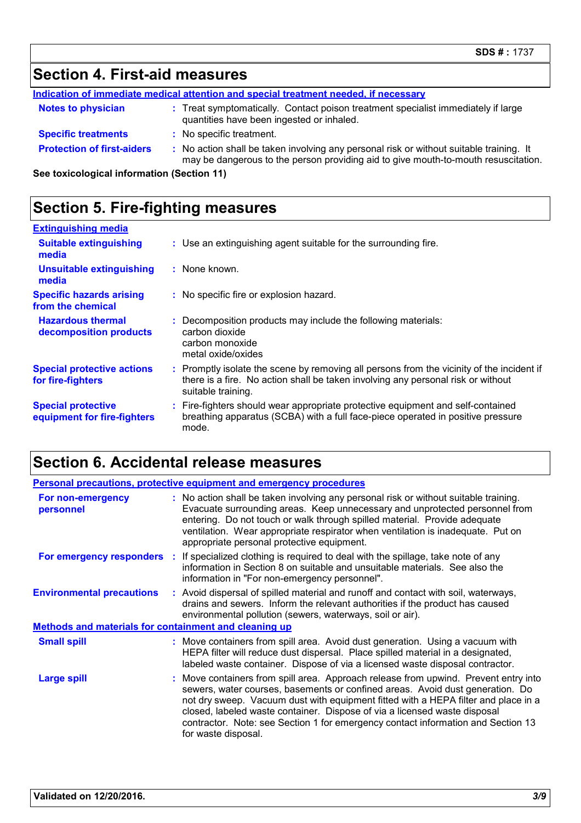## **Section 4. First-aid measures**

|                                            | Indication of immediate medical attention and special treatment needed, if necessary                                                                                          |
|--------------------------------------------|-------------------------------------------------------------------------------------------------------------------------------------------------------------------------------|
| <b>Notes to physician</b>                  | : Treat symptomatically. Contact poison treatment specialist immediately if large<br>quantities have been ingested or inhaled.                                                |
| <b>Specific treatments</b>                 | : No specific treatment.                                                                                                                                                      |
| <b>Protection of first-aiders</b>          | : No action shall be taken involving any personal risk or without suitable training. It<br>may be dangerous to the person providing aid to give mouth-to-mouth resuscitation. |
| See toxicological information (Section 11) |                                                                                                                                                                               |

**See toxicological information (Section 11)**

## **Section 5. Fire-fighting measures**

| <b>Extinguishing media</b>                               |                                                                                                                                                                                                     |
|----------------------------------------------------------|-----------------------------------------------------------------------------------------------------------------------------------------------------------------------------------------------------|
| <b>Suitable extinguishing</b><br>media                   | : Use an extinguishing agent suitable for the surrounding fire.                                                                                                                                     |
| <b>Unsuitable extinguishing</b><br>media                 | : None known.                                                                                                                                                                                       |
| <b>Specific hazards arising</b><br>from the chemical     | : No specific fire or explosion hazard.                                                                                                                                                             |
| <b>Hazardous thermal</b><br>decomposition products       | : Decomposition products may include the following materials:<br>carbon dioxide<br>carbon monoxide<br>metal oxide/oxides                                                                            |
| <b>Special protective actions</b><br>for fire-fighters   | : Promptly isolate the scene by removing all persons from the vicinity of the incident if<br>there is a fire. No action shall be taken involving any personal risk or without<br>suitable training. |
| <b>Special protective</b><br>equipment for fire-fighters | : Fire-fighters should wear appropriate protective equipment and self-contained<br>breathing apparatus (SCBA) with a full face-piece operated in positive pressure<br>mode.                         |

## **Section 6. Accidental release measures**

|                                                              | <b>Personal precautions, protective equipment and emergency procedures</b>                                                                                                                                                                                                                                                                                                                                                                         |
|--------------------------------------------------------------|----------------------------------------------------------------------------------------------------------------------------------------------------------------------------------------------------------------------------------------------------------------------------------------------------------------------------------------------------------------------------------------------------------------------------------------------------|
| For non-emergency<br>personnel                               | : No action shall be taken involving any personal risk or without suitable training.<br>Evacuate surrounding areas. Keep unnecessary and unprotected personnel from<br>entering. Do not touch or walk through spilled material. Provide adequate<br>ventilation. Wear appropriate respirator when ventilation is inadequate. Put on<br>appropriate personal protective equipment.                                                                  |
|                                                              | <b>For emergency responders</b> : If specialized clothing is required to deal with the spillage, take note of any<br>information in Section 8 on suitable and unsuitable materials. See also the<br>information in "For non-emergency personnel".                                                                                                                                                                                                  |
| <b>Environmental precautions</b>                             | : Avoid dispersal of spilled material and runoff and contact with soil, waterways,<br>drains and sewers. Inform the relevant authorities if the product has caused<br>environmental pollution (sewers, waterways, soil or air).                                                                                                                                                                                                                    |
| <b>Methods and materials for containment and cleaning up</b> |                                                                                                                                                                                                                                                                                                                                                                                                                                                    |
| <b>Small spill</b>                                           | : Move containers from spill area. Avoid dust generation. Using a vacuum with<br>HEPA filter will reduce dust dispersal. Place spilled material in a designated,<br>labeled waste container. Dispose of via a licensed waste disposal contractor.                                                                                                                                                                                                  |
| <b>Large spill</b>                                           | : Move containers from spill area. Approach release from upwind. Prevent entry into<br>sewers, water courses, basements or confined areas. Avoid dust generation. Do<br>not dry sweep. Vacuum dust with equipment fitted with a HEPA filter and place in a<br>closed, labeled waste container. Dispose of via a licensed waste disposal<br>contractor. Note: see Section 1 for emergency contact information and Section 13<br>for waste disposal. |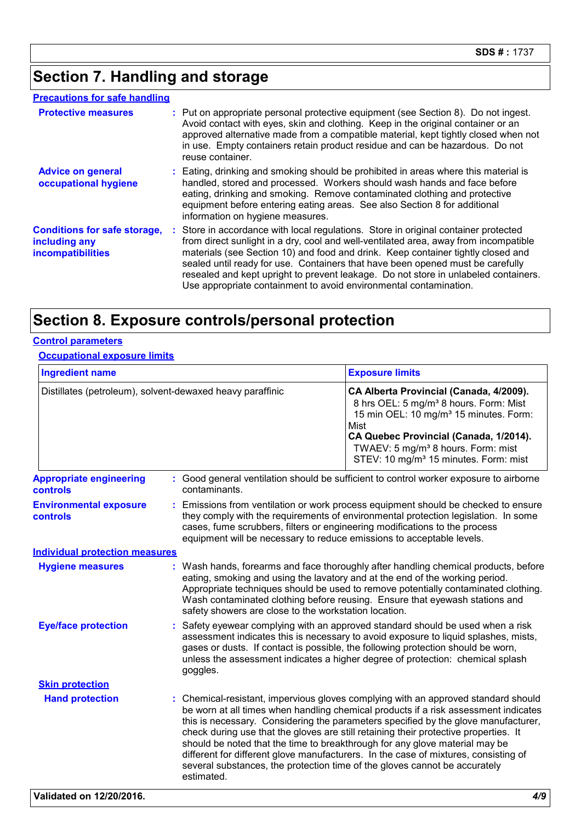## **Section 7. Handling and storage**

### **Precautions for safe handling**

| <b>Protective measures</b>                                                       | : Put on appropriate personal protective equipment (see Section 8). Do not ingest.<br>Avoid contact with eyes, skin and clothing. Keep in the original container or an<br>approved alternative made from a compatible material, kept tightly closed when not<br>in use. Empty containers retain product residue and can be hazardous. Do not<br>reuse container.                                                                                                                                              |
|----------------------------------------------------------------------------------|---------------------------------------------------------------------------------------------------------------------------------------------------------------------------------------------------------------------------------------------------------------------------------------------------------------------------------------------------------------------------------------------------------------------------------------------------------------------------------------------------------------|
| <b>Advice on general</b><br>occupational hygiene                                 | : Eating, drinking and smoking should be prohibited in areas where this material is<br>handled, stored and processed. Workers should wash hands and face before<br>eating, drinking and smoking. Remove contaminated clothing and protective<br>equipment before entering eating areas. See also Section 8 for additional<br>information on hygiene measures.                                                                                                                                                 |
| <b>Conditions for safe storage,</b><br>including any<br><b>incompatibilities</b> | : Store in accordance with local regulations. Store in original container protected<br>from direct sunlight in a dry, cool and well-ventilated area, away from incompatible<br>materials (see Section 10) and food and drink. Keep container tightly closed and<br>sealed until ready for use. Containers that have been opened must be carefully<br>resealed and kept upright to prevent leakage. Do not store in unlabeled containers.<br>Use appropriate containment to avoid environmental contamination. |

## **Section 8. Exposure controls/personal protection**

### **Control parameters**

### **Occupational exposure limits**

| <b>Ingredient name</b>                           |                                                                                                                                                     | <b>Exposure limits</b>                                                                                                                                                                                                                                                                                                                                                                                                                                                                                                                                                                                      |  |
|--------------------------------------------------|-----------------------------------------------------------------------------------------------------------------------------------------------------|-------------------------------------------------------------------------------------------------------------------------------------------------------------------------------------------------------------------------------------------------------------------------------------------------------------------------------------------------------------------------------------------------------------------------------------------------------------------------------------------------------------------------------------------------------------------------------------------------------------|--|
|                                                  | Distillates (petroleum), solvent-dewaxed heavy paraffinic                                                                                           | CA Alberta Provincial (Canada, 4/2009).<br>8 hrs OEL: 5 mg/m <sup>3</sup> 8 hours. Form: Mist<br>15 min OEL: 10 mg/m <sup>3</sup> 15 minutes. Form:<br>Mist<br>CA Quebec Provincial (Canada, 1/2014).<br>TWAEV: 5 mg/m <sup>3</sup> 8 hours. Form: mist<br>STEV: 10 mg/m <sup>3</sup> 15 minutes. Form: mist                                                                                                                                                                                                                                                                                                |  |
| <b>Appropriate engineering</b><br>controls       | contaminants.                                                                                                                                       | : Good general ventilation should be sufficient to control worker exposure to airborne                                                                                                                                                                                                                                                                                                                                                                                                                                                                                                                      |  |
| <b>Environmental exposure</b><br><b>controls</b> | cases, fume scrubbers, filters or engineering modifications to the process<br>equipment will be necessary to reduce emissions to acceptable levels. | Emissions from ventilation or work process equipment should be checked to ensure<br>they comply with the requirements of environmental protection legislation. In some                                                                                                                                                                                                                                                                                                                                                                                                                                      |  |
| <b>Individual protection measures</b>            |                                                                                                                                                     |                                                                                                                                                                                                                                                                                                                                                                                                                                                                                                                                                                                                             |  |
| <b>Hygiene measures</b>                          |                                                                                                                                                     | Wash hands, forearms and face thoroughly after handling chemical products, before<br>eating, smoking and using the lavatory and at the end of the working period.<br>Appropriate techniques should be used to remove potentially contaminated clothing.<br>Wash contaminated clothing before reusing. Ensure that eyewash stations and<br>safety showers are close to the workstation location.                                                                                                                                                                                                             |  |
| <b>Eye/face protection</b>                       | goggles.                                                                                                                                            | Safety eyewear complying with an approved standard should be used when a risk<br>assessment indicates this is necessary to avoid exposure to liquid splashes, mists,<br>gases or dusts. If contact is possible, the following protection should be worn,<br>unless the assessment indicates a higher degree of protection: chemical splash                                                                                                                                                                                                                                                                  |  |
| <b>Skin protection</b>                           |                                                                                                                                                     |                                                                                                                                                                                                                                                                                                                                                                                                                                                                                                                                                                                                             |  |
| <b>Hand protection</b>                           | estimated.                                                                                                                                          | : Chemical-resistant, impervious gloves complying with an approved standard should<br>be worn at all times when handling chemical products if a risk assessment indicates<br>this is necessary. Considering the parameters specified by the glove manufacturer,<br>check during use that the gloves are still retaining their protective properties. It<br>should be noted that the time to breakthrough for any glove material may be<br>different for different glove manufacturers. In the case of mixtures, consisting of<br>several substances, the protection time of the gloves cannot be accurately |  |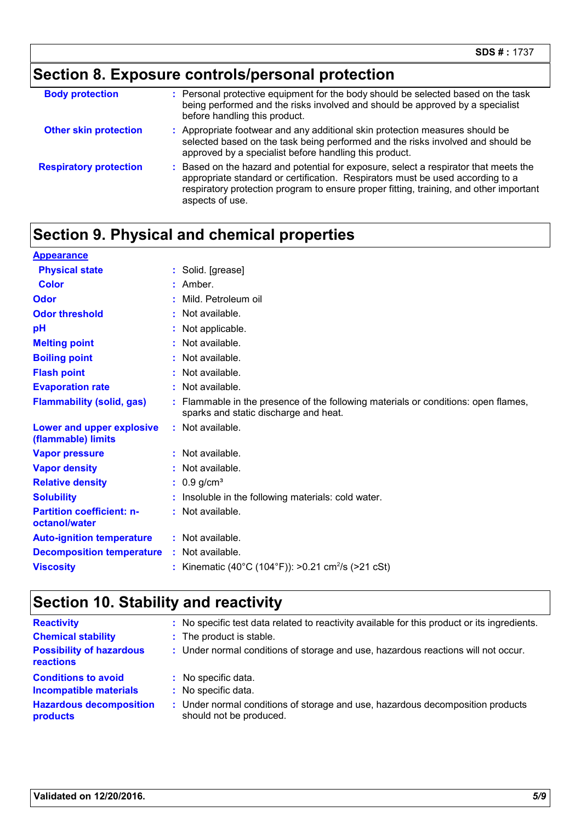## **Section 8. Exposure controls/personal protection**

| <b>Body protection</b>        | : Personal protective equipment for the body should be selected based on the task<br>being performed and the risks involved and should be approved by a specialist<br>before handling this product.                                                                               |
|-------------------------------|-----------------------------------------------------------------------------------------------------------------------------------------------------------------------------------------------------------------------------------------------------------------------------------|
| <b>Other skin protection</b>  | : Appropriate footwear and any additional skin protection measures should be<br>selected based on the task being performed and the risks involved and should be<br>approved by a specialist before handling this product.                                                         |
| <b>Respiratory protection</b> | Based on the hazard and potential for exposure, select a respirator that meets the<br>appropriate standard or certification. Respirators must be used according to a<br>respiratory protection program to ensure proper fitting, training, and other important<br>aspects of use. |

## **Section 9. Physical and chemical properties**

| <b>Appearance</b>                                 |                                                                                                                             |
|---------------------------------------------------|-----------------------------------------------------------------------------------------------------------------------------|
| <b>Physical state</b>                             | : Solid. [grease]                                                                                                           |
| Color                                             | : Amber.                                                                                                                    |
| Odor                                              | Mild. Petroleum oil                                                                                                         |
| <b>Odor threshold</b>                             | : Not available.                                                                                                            |
| pH                                                | : Not applicable.                                                                                                           |
| <b>Melting point</b>                              | $:$ Not available.                                                                                                          |
| <b>Boiling point</b>                              | : Not available.                                                                                                            |
| <b>Flash point</b>                                | : Not available.                                                                                                            |
| <b>Evaporation rate</b>                           | : Not available.                                                                                                            |
| <b>Flammability (solid, gas)</b>                  | : Flammable in the presence of the following materials or conditions: open flames,<br>sparks and static discharge and heat. |
| Lower and upper explosive<br>(flammable) limits   | : Not available.                                                                                                            |
| <b>Vapor pressure</b>                             | : Not available.                                                                                                            |
| <b>Vapor density</b>                              | : Not available.                                                                                                            |
| <b>Relative density</b>                           | $: 0.9$ g/cm <sup>3</sup>                                                                                                   |
| <b>Solubility</b>                                 | : Insoluble in the following materials: cold water.                                                                         |
| <b>Partition coefficient: n-</b><br>octanol/water | : Not available.                                                                                                            |
| <b>Auto-ignition temperature</b>                  | $:$ Not available.                                                                                                          |
| <b>Decomposition temperature</b>                  | : Not available.                                                                                                            |
| <b>Viscosity</b>                                  | : Kinematic (40°C (104°F)): >0.21 cm <sup>2</sup> /s (>21 cSt)                                                              |
|                                                   |                                                                                                                             |

## **Section 10. Stability and reactivity**

| <b>Reactivity</b><br><b>Chemical stability</b><br><b>Possibility of hazardous</b><br>reactions | : No specific test data related to reactivity available for this product or its ingredients.<br>: The product is stable.<br>: Under normal conditions of storage and use, hazardous reactions will not occur. |
|------------------------------------------------------------------------------------------------|---------------------------------------------------------------------------------------------------------------------------------------------------------------------------------------------------------------|
| <b>Conditions to avoid</b>                                                                     | : No specific data.                                                                                                                                                                                           |
| <b>Incompatible materials</b>                                                                  | : No specific data.                                                                                                                                                                                           |
| <b>Hazardous decomposition</b>                                                                 | : Under normal conditions of storage and use, hazardous decomposition products                                                                                                                                |
| products                                                                                       | should not be produced.                                                                                                                                                                                       |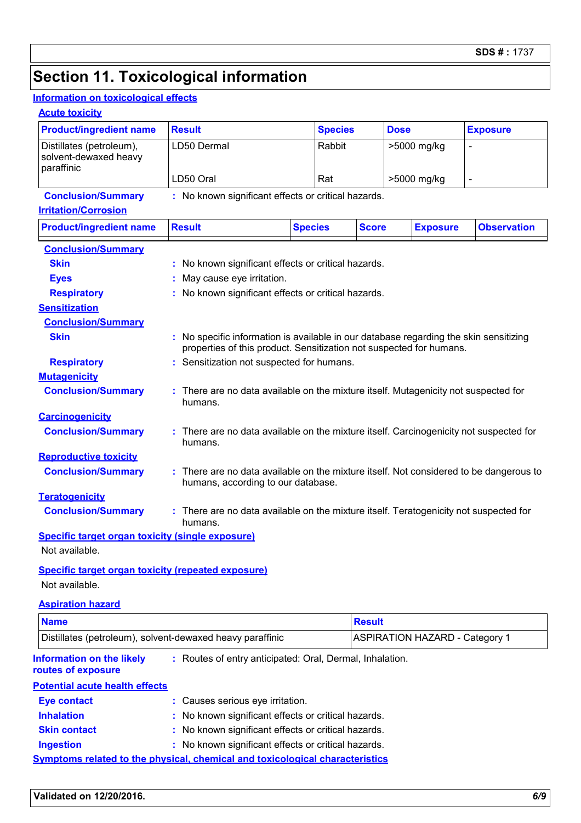## **Section 11. Toxicological information**

### **Information on toxicological effects**

### **Acute toxicity**

|                                                                 |                                                                                                                                                              |                                                                                                                              |                | <b>Dose</b> |                                       |                    |
|-----------------------------------------------------------------|--------------------------------------------------------------------------------------------------------------------------------------------------------------|------------------------------------------------------------------------------------------------------------------------------|----------------|-------------|---------------------------------------|--------------------|
| <b>Product/ingredient name</b>                                  | <b>Result</b>                                                                                                                                                |                                                                                                                              | <b>Species</b> |             |                                       | <b>Exposure</b>    |
| Distillates (petroleum),<br>solvent-dewaxed heavy<br>paraffinic | LD50 Dermal                                                                                                                                                  |                                                                                                                              | Rabbit         |             | >5000 mg/kg                           |                    |
|                                                                 | LD50 Oral                                                                                                                                                    | Rat                                                                                                                          |                |             | >5000 mg/kg                           |                    |
| <b>Conclusion/Summary</b>                                       | : No known significant effects or critical hazards.                                                                                                          |                                                                                                                              |                |             |                                       |                    |
| <b>Irritation/Corrosion</b>                                     |                                                                                                                                                              |                                                                                                                              |                |             |                                       |                    |
| <b>Product/ingredient name</b>                                  | <b>Result</b>                                                                                                                                                | <b>Species</b>                                                                                                               | <b>Score</b>   |             | <b>Exposure</b>                       | <b>Observation</b> |
| <b>Conclusion/Summary</b>                                       |                                                                                                                                                              |                                                                                                                              |                |             |                                       |                    |
| <b>Skin</b>                                                     | : No known significant effects or critical hazards.                                                                                                          |                                                                                                                              |                |             |                                       |                    |
| <b>Eyes</b>                                                     | May cause eye irritation.                                                                                                                                    |                                                                                                                              |                |             |                                       |                    |
| <b>Respiratory</b>                                              | : No known significant effects or critical hazards.                                                                                                          |                                                                                                                              |                |             |                                       |                    |
| <b>Sensitization</b>                                            |                                                                                                                                                              |                                                                                                                              |                |             |                                       |                    |
| <b>Conclusion/Summary</b>                                       |                                                                                                                                                              |                                                                                                                              |                |             |                                       |                    |
| <b>Skin</b>                                                     | : No specific information is available in our database regarding the skin sensitizing<br>properties of this product. Sensitization not suspected for humans. |                                                                                                                              |                |             |                                       |                    |
| <b>Respiratory</b>                                              | : Sensitization not suspected for humans.                                                                                                                    |                                                                                                                              |                |             |                                       |                    |
| <b>Mutagenicity</b>                                             |                                                                                                                                                              |                                                                                                                              |                |             |                                       |                    |
| <b>Conclusion/Summary</b>                                       | : There are no data available on the mixture itself. Mutagenicity not suspected for<br>humans.                                                               |                                                                                                                              |                |             |                                       |                    |
| <b>Carcinogenicity</b>                                          |                                                                                                                                                              |                                                                                                                              |                |             |                                       |                    |
| <b>Conclusion/Summary</b>                                       | There are no data available on the mixture itself. Carcinogenicity not suspected for<br>humans.                                                              |                                                                                                                              |                |             |                                       |                    |
| <b>Reproductive toxicity</b>                                    |                                                                                                                                                              |                                                                                                                              |                |             |                                       |                    |
| <b>Conclusion/Summary</b>                                       |                                                                                                                                                              | : There are no data available on the mixture itself. Not considered to be dangerous to<br>humans, according to our database. |                |             |                                       |                    |
| <b>Teratogenicity</b>                                           |                                                                                                                                                              |                                                                                                                              |                |             |                                       |                    |
| <b>Conclusion/Summary</b>                                       | : There are no data available on the mixture itself. Teratogenicity not suspected for<br>humans.                                                             |                                                                                                                              |                |             |                                       |                    |
| <b>Specific target organ toxicity (single exposure)</b>         |                                                                                                                                                              |                                                                                                                              |                |             |                                       |                    |
| Not available.                                                  |                                                                                                                                                              |                                                                                                                              |                |             |                                       |                    |
| <b>Specific target organ toxicity (repeated exposure)</b>       |                                                                                                                                                              |                                                                                                                              |                |             |                                       |                    |
| Not available.                                                  |                                                                                                                                                              |                                                                                                                              |                |             |                                       |                    |
| <b>Aspiration hazard</b>                                        |                                                                                                                                                              |                                                                                                                              |                |             |                                       |                    |
| <b>Name</b>                                                     |                                                                                                                                                              |                                                                                                                              | <b>Result</b>  |             |                                       |                    |
| Distillates (petroleum), solvent-dewaxed heavy paraffinic       |                                                                                                                                                              |                                                                                                                              |                |             | <b>ASPIRATION HAZARD - Category 1</b> |                    |
|                                                                 |                                                                                                                                                              |                                                                                                                              |                |             |                                       |                    |
| <b>Information on the likely</b><br>routes of exposure          | : Routes of entry anticipated: Oral, Dermal, Inhalation.                                                                                                     |                                                                                                                              |                |             |                                       |                    |
| <b>Potential acute health effects</b>                           |                                                                                                                                                              |                                                                                                                              |                |             |                                       |                    |
| <b>Eye contact</b>                                              | : Causes serious eye irritation.                                                                                                                             |                                                                                                                              |                |             |                                       |                    |
| <b>Inhalation</b>                                               | : No known significant effects or critical hazards.                                                                                                          |                                                                                                                              |                |             |                                       |                    |
|                                                                 | : No known significant effects or critical hazards.                                                                                                          |                                                                                                                              |                |             |                                       |                    |
| <b>Skin contact</b>                                             |                                                                                                                                                              |                                                                                                                              |                |             |                                       |                    |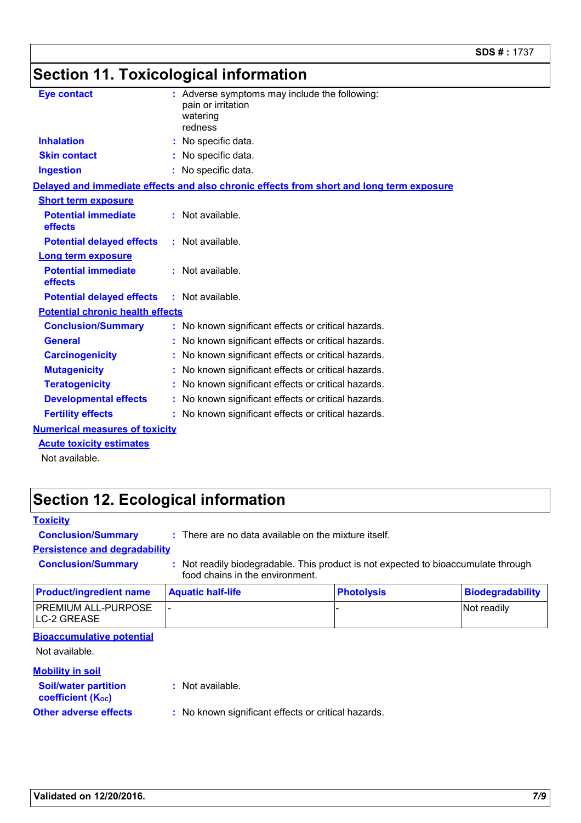## **Section 11. Toxicological information**

| <b>Eye contact</b>                      | : Adverse symptoms may include the following:<br>pain or irritation<br>watering<br>redness |
|-----------------------------------------|--------------------------------------------------------------------------------------------|
| <b>Inhalation</b>                       | : No specific data.                                                                        |
| <b>Skin contact</b>                     | : No specific data.                                                                        |
| <b>Ingestion</b>                        | : No specific data.                                                                        |
|                                         | Delayed and immediate effects and also chronic effects from short and long term exposure   |
| <b>Short term exposure</b>              |                                                                                            |
| <b>Potential immediate</b><br>effects   | $:$ Not available.                                                                         |
| <b>Potential delayed effects</b>        | $:$ Not available.                                                                         |
| <b>Long term exposure</b>               |                                                                                            |
| <b>Potential immediate</b><br>effects   | $:$ Not available.                                                                         |
| <b>Potential delayed effects</b>        | $:$ Not available.                                                                         |
| <b>Potential chronic health effects</b> |                                                                                            |
| <b>Conclusion/Summary</b>               | : No known significant effects or critical hazards.                                        |
| <b>General</b>                          | No known significant effects or critical hazards.                                          |
| <b>Carcinogenicity</b>                  | : No known significant effects or critical hazards.                                        |
| <b>Mutagenicity</b>                     | : No known significant effects or critical hazards.                                        |
| <b>Teratogenicity</b>                   | : No known significant effects or critical hazards.                                        |
| <b>Developmental effects</b>            | : No known significant effects or critical hazards.                                        |
| <b>Fertility effects</b>                | : No known significant effects or critical hazards.                                        |
| <b>Numerical measures of toxicity</b>   |                                                                                            |
| <b>Acute toxicity estimates</b>         |                                                                                            |

Not available.

## **Section 12. Ecological information**

| <b>Toxicity</b>                                         |                                                                 |                                                                                    |                         |
|---------------------------------------------------------|-----------------------------------------------------------------|------------------------------------------------------------------------------------|-------------------------|
| <b>Conclusion/Summary</b>                               | $\therefore$ There are no data available on the mixture itself. |                                                                                    |                         |
| <b>Persistence and degradability</b>                    |                                                                 |                                                                                    |                         |
| <b>Conclusion/Summary</b>                               | food chains in the environment.                                 | : Not readily biodegradable. This product is not expected to bioaccumulate through |                         |
| <b>Product/ingredient name</b>                          | <b>Aquatic half-life</b>                                        | <b>Photolysis</b>                                                                  | <b>Biodegradability</b> |
| PREMIUM ALL-PURPOSE<br><b>LC-2 GREASE</b>               |                                                                 |                                                                                    | Not readily             |
| <b>Bioaccumulative potential</b><br>Not available.      |                                                                 |                                                                                    |                         |
| <b>Mobility in soil</b>                                 |                                                                 |                                                                                    |                         |
| <b>Soil/water partition</b><br><b>coefficient (Koc)</b> | $:$ Not available.                                              |                                                                                    |                         |
| <b>Other adverse effects</b>                            | : No known significant effects or critical hazards.             |                                                                                    |                         |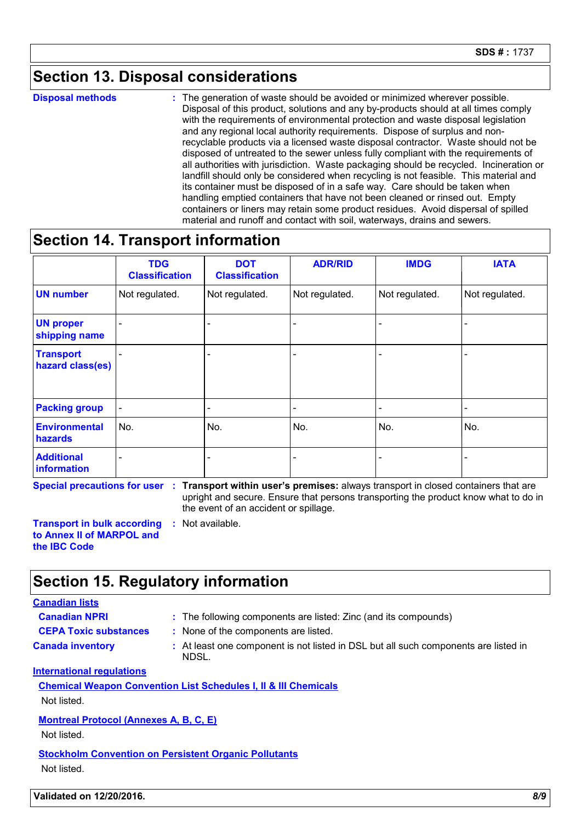## **Section 13. Disposal considerations**

**Disposal methods :**

The generation of waste should be avoided or minimized wherever possible. Disposal of this product, solutions and any by-products should at all times comply with the requirements of environmental protection and waste disposal legislation and any regional local authority requirements. Dispose of surplus and nonrecyclable products via a licensed waste disposal contractor. Waste should not be disposed of untreated to the sewer unless fully compliant with the requirements of all authorities with jurisdiction. Waste packaging should be recycled. Incineration or landfill should only be considered when recycling is not feasible. This material and its container must be disposed of in a safe way. Care should be taken when handling emptied containers that have not been cleaned or rinsed out. Empty containers or liners may retain some product residues. Avoid dispersal of spilled material and runoff and contact with soil, waterways, drains and sewers.

### **Section 14. Transport information**

|                                      | <b>TDG</b><br><b>Classification</b> | <b>DOT</b><br><b>Classification</b> | <b>ADR/RID</b> | <b>IMDG</b>    | <b>IATA</b>    |
|--------------------------------------|-------------------------------------|-------------------------------------|----------------|----------------|----------------|
| <b>UN number</b>                     | Not regulated.                      | Not regulated.                      | Not regulated. | Not regulated. | Not regulated. |
| <b>UN proper</b><br>shipping name    |                                     | ٠                                   |                |                |                |
| <b>Transport</b><br>hazard class(es) |                                     | -                                   |                |                |                |
| <b>Packing group</b>                 | $\blacksquare$                      | $\overline{\phantom{a}}$            |                |                |                |
| <b>Environmental</b><br>hazards      | No.                                 | No.                                 | No.            | No.            | No.            |
| <b>Additional</b><br>information     |                                     | -                                   |                |                |                |

**Special precautions for user Transport within user's premises:** always transport in closed containers that are **:**

upright and secure. Ensure that persons transporting the product know what to do in the event of an accident or spillage.

**Transport in bulk according to Annex II of MARPOL and the IBC Code :** Not available.

## **Section 15. Regulatory information**

### **Canadian lists**

**Canadian NPRI :** The following components are listed: Zinc (and its compounds)

- **CEPA Toxic substances :** None of the components are listed.
- 
- **Canada inventory :** At least one component is not listed in DSL but all such components are listed in NDSL.

**International regulations**

|             | <b>Chemical Weapon Convention List Schedules I, II &amp; III Chemicals</b> |  |  |
|-------------|----------------------------------------------------------------------------|--|--|
| Not listed. |                                                                            |  |  |

**Montreal Protocol (Annexes A, B, C, E)**

Not listed.

**Stockholm Convention on Persistent Organic Pollutants** Not listed.